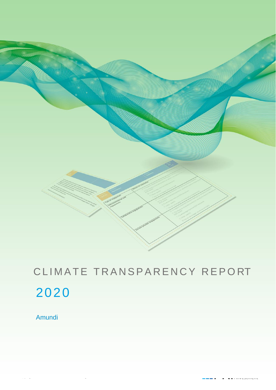

# CLIMATE TRANSPARENCY REPORT 2020

Amundi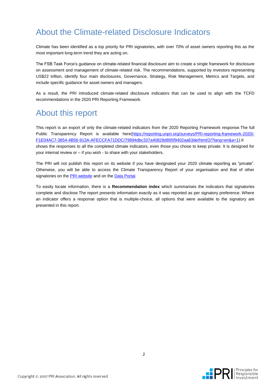### About the Climate-related Disclosure Indicators

Climate has been identified as a top priority for PRI signatories, with over 70% of asset owners reporting this as the most important long-term trend they are acting on.

The FSB Task Force's guidance on climate-related financial disclosure aim to create a single framework for disclosure on assessment and management of climate-related risk. The recommendations, supported by investors representing US\$22 trillion, identify four main disclosures, Governance, Strategy, Risk Management, Metrics and Targets, and include specific guidance for asset owners and managers.

As a result, the PRI introduced climate-related disclosure indicators that can be used to align with the TCFD recommendations in the 2020 PRI Reporting Framework.

### About this report

This report is an export of only the climate-related indicators from the 2020 Reporting Framework response.The full Public Transparency Report is available here[\(https://reporting.unpri.org/surveys/PRI-reporting-framework-2020/-](https://reporting.unpri.org/surveys/PRI-reporting-framework-2020/F1E04AC7-3854-4B56-913A-AFECCFA71DDC/79894dbc337a40828d895f9402aa63de/html/2/?lang=en&a=1) [F1E04AC7-3854-4B56-913A-AFECCFA71DDC/79894dbc337a40828d895f9402aa63de/html/2/?lang=en&a=1\)](https://reporting.unpri.org/surveys/PRI-reporting-framework-2020/F1E04AC7-3854-4B56-913A-AFECCFA71DDC/79894dbc337a40828d895f9402aa63de/html/2/?lang=en&a=1).It shows the responses to all the completed climate indicators, even those you chose to keep private. It is designed for your internal review or – if you wish - to share with your stakeholders.

The PRI will not publish this report on its website if you have designated your 2020 climate reporting as "private". Otherwise, you will be able to access the Climate Transparency Report of your organisation and that of other signatories on the **PRI** website and on the **Data Portal**.

To easily locate information, there is a **Recommendation index** which summarises the indicators that signatories complete and disclose.The report presents information exactly as it was reported as per signatory preference. Where an indicator offers a response option that is multiple-choice, all options that were available to the signatory are presented in this report.

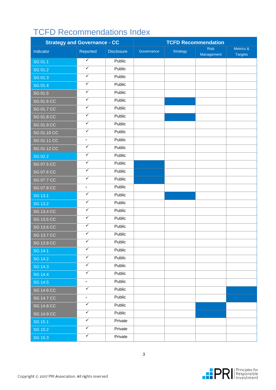## TCFD Recommendations Index

| <b>Strategy and Governance - CC</b> |                         | <b>TCFD Recommendation</b> |            |                 |                           |                             |
|-------------------------------------|-------------------------|----------------------------|------------|-----------------|---------------------------|-----------------------------|
| Indicator                           | Reported                | <b>Disclosure</b>          | Governance | <b>Strategy</b> | <b>Risk</b><br>Management | Metrics &<br><b>Targets</b> |
| SG 01.1                             | $\overline{\checkmark}$ | Public                     |            |                 |                           |                             |
| SG 01.2                             | $\overline{\checkmark}$ | Public                     |            |                 |                           |                             |
| SG 01.3                             | $\overline{\checkmark}$ | Public                     |            |                 |                           |                             |
| SG 01.4                             | $\overline{\checkmark}$ | Public                     |            |                 |                           |                             |
| SG 01.5                             | ✓                       | Public                     |            |                 |                           |                             |
| SG 01.6 CC                          | $\overline{\checkmark}$ | Public                     |            |                 |                           |                             |
| <b>SG 01.7 CC</b>                   | $\checkmark$            | Public                     |            |                 |                           |                             |
| <b>SG 01.8 CC</b>                   | $\overline{\checkmark}$ | Public                     |            |                 |                           |                             |
| SG 01.9 CC                          | $\checkmark$            | Public                     |            |                 |                           |                             |
| SG 01.10 CC                         | $\overline{\checkmark}$ | Public                     |            |                 |                           |                             |
| SG 01.11 CC                         | $\blacksquare$          | Public                     |            |                 |                           |                             |
| SG 01.12 CC                         | ✓                       | Public                     |            |                 |                           |                             |
| SG 02.2                             | $\checkmark$            | Public                     |            |                 |                           |                             |
| <b>SG 07.5 CC</b>                   | $\checkmark$            | Public                     |            |                 |                           |                             |
| SG 07.6 CC                          | $\overline{\checkmark}$ | Public                     |            |                 |                           |                             |
| SG 07.7 CC                          | $\overline{\checkmark}$ | Public                     |            |                 |                           |                             |
| <b>SG 07.8 CC</b>                   | $\blacksquare$          | Public                     |            |                 |                           |                             |
| SG 13.1                             | $\overline{\checkmark}$ | Public                     |            |                 |                           |                             |
| SG 13.2                             | $\overline{\checkmark}$ | Public                     |            |                 |                           |                             |
| <b>SG 13.4 CC</b>                   | $\overline{\checkmark}$ | Public                     |            |                 |                           |                             |
| SG 13.5 CC                          | $\overline{\checkmark}$ | Public                     |            |                 |                           |                             |
| SG 13.6 CC                          | $\overline{\checkmark}$ | Public                     |            |                 |                           |                             |
| <b>SG 13.7 CC</b>                   | $\overline{\checkmark}$ | Public                     |            |                 |                           |                             |
| <b>SG 13.8 CC</b>                   | ✓                       | Public                     |            |                 |                           |                             |
| SG 14.1                             | ✓                       | Public                     |            |                 |                           |                             |
| <b>SG 14.2</b>                      | $\overline{\checkmark}$ | Public                     |            |                 |                           |                             |
| SG 14.3                             | $\overline{\checkmark}$ | Public                     |            |                 |                           |                             |
| <b>SG 14.4</b>                      | $\overline{\checkmark}$ | Public                     |            |                 |                           |                             |
| SG 14.5                             | ÷.                      | Public                     |            |                 |                           |                             |
| <b>SG 14.6 CC</b>                   | $\checkmark$            | Public                     |            |                 |                           |                             |
| <b>SG 14.7 CC</b>                   | $\blacksquare$          | Public                     |            |                 |                           |                             |
| <b>SG 14.8 CC</b>                   | $\overline{\checkmark}$ | Public                     |            |                 |                           |                             |
| <b>SG 14.9 CC</b>                   | $\overline{\checkmark}$ | Public                     |            |                 |                           |                             |
| SG 15.1                             | $\overline{\checkmark}$ | Private                    |            |                 |                           |                             |
| SG 15.2                             | $\overline{\checkmark}$ | Private                    |            |                 |                           |                             |
| SG 15.3                             | $\checkmark$            | Private                    |            |                 |                           |                             |

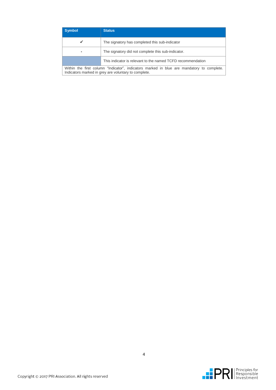| <b>Symbol</b>                                                                                                                                     | <b>Status</b>                                               |  |
|---------------------------------------------------------------------------------------------------------------------------------------------------|-------------------------------------------------------------|--|
| ✓                                                                                                                                                 | The signatory has completed this sub-indicator              |  |
|                                                                                                                                                   | The signatory did not complete this sub-indicator.          |  |
|                                                                                                                                                   | This indicator is relevant to the named TCFD recommendation |  |
| Within the first column "Indicator", indicators marked in blue are mandatory to complete.<br>Indicators marked in grey are voluntary to complete. |                                                             |  |

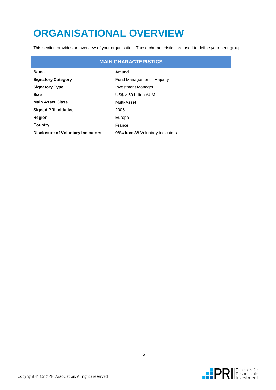# **ORGANISATIONAL OVERVIEW**

This section provides an overview of your organisation. These characteristics are used to define your peer groups.

|                                           | <b>MAIN CHARACTERISTICS</b>      |
|-------------------------------------------|----------------------------------|
| <b>Name</b>                               | Amundi                           |
| <b>Signatory Category</b>                 | Fund Management - Majority       |
| <b>Signatory Type</b>                     | <b>Investment Manager</b>        |
| <b>Size</b>                               | $USS > 50$ billion AUM           |
| <b>Main Asset Class</b>                   | Multi-Asset                      |
| <b>Signed PRI Initiative</b>              | 2006                             |
| Region                                    | Europe                           |
| Country                                   | France                           |
| <b>Disclosure of Voluntary Indicators</b> | 98% from 38 Voluntary indicators |

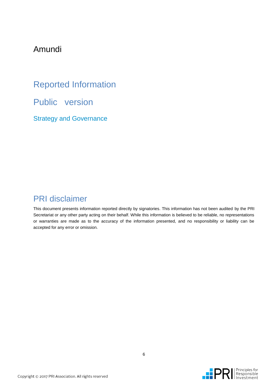### Amundi

Reported Information Public version Strategy and Governance

### PRI disclaimer

This document presents information reported directly by signatories. This information has not been audited by the PRI Secretariat or any other party acting on their behalf. While this information is believed to be reliable, no representations or warranties are made as to the accuracy of the information presented, and no responsibility or liability can be accepted for any error or omission.

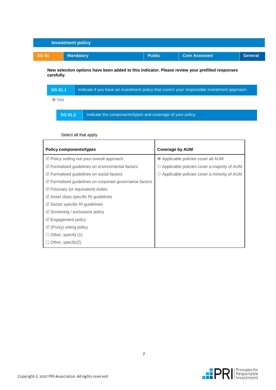

**New selection options have been added to this indicator. Please review your prefilled responses carefully.**

| <b>SG 01.1</b> | Indicate if you have an investment policy that covers your responsible investment approach. |  |  |  |
|----------------|---------------------------------------------------------------------------------------------|--|--|--|
| ⊙ Yes          |                                                                                             |  |  |  |
| <b>SG 01.2</b> | Indicate the components/types and coverage of your policy.                                  |  |  |  |

| <b>Policy components/types</b>                                    | <b>Coverage by AUM</b>                              |
|-------------------------------------------------------------------|-----------------------------------------------------|
| ☑ Policy setting out your overall approach                        | ◎ Applicable policies cover all AUM                 |
| $\mathbb Z$ Formalised guidelines on environmental factors        | $\circ$ Applicable policies cover a majority of AUM |
| $\triangledown$ Formalised guidelines on social factors           | $\circ$ Applicable policies cover a minority of AUM |
| $\mathbb Z$ Formalised guidelines on corporate governance factors |                                                     |
| $\triangledown$ Fiduciary (or equivalent) duties                  |                                                     |
| $\boxtimes$ Asset class-specific RI guidelines                    |                                                     |
| $\boxtimes$ Sector specific RI guidelines                         |                                                     |
| $\boxtimes$ Screening / exclusions policy                         |                                                     |
| $\boxtimes$ Engagement policy                                     |                                                     |
| $\boxtimes$ (Proxy) voting policy                                 |                                                     |
| $\Box$ Other, specify (1)                                         |                                                     |
| Other, specify $(2)$                                              |                                                     |

#### Select all that apply

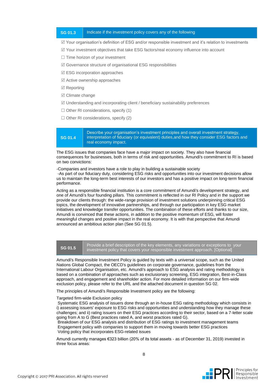#### **SG 01.3** | Indicate if the investment policy covers any of the following

 $\mathbb Z$  Your organisation's definition of ESG and/or responsible investment and it's relation to investments

- $\mathbb Z$  Your investment objectives that take ESG factors/real economy influence into account
- $\Box$  Time horizon of your investment
- $\mathbb Z$  Governance structure of organisational ESG responsibilities
- $\boxtimes$  ESG incorporation approaches
- $\boxtimes$  Active ownership approaches
- **Ø** Reporting
- $\boxtimes$  Climate change
- $\boxtimes$  Understanding and incorporating client / beneficiary sustainability preferences
- $\Box$  Other RI considerations, specify (1)
- $\Box$  Other RI considerations, specify (2)

**SG 01.4** Describe your organisation's investment principles and overall investment strategy, interpretation of fiduciary (or equivalent) duties,and how they consider ESG factors and real economy impact.

The ESG issues that companies face have a major impact on society. They also have financial consequences for businesses, both in terms of risk and opportunities. Amundi's commitment to RI is based on two convictions:

#### -Companies and investors have a role to play in building a sustainable society

-As part of our fiduciary duty, considering ESG risks and opportunities into our investment decisions allow us to maintain the long-term best interests of our investors and has a positive impact on long-term financial performance.

Acting as a responsible financial institution is a core commitment of Amundi's development strategy, and one of Amundi's four founding pillars. This commitment is reflected in our RI Policy and in the support we provide our clients through: the wide-range provision of investment solutions underpinning critical ESG topics, the development of innovative partnerships, and through our participation in key ESG market initiatives and knowledge transfer opportunities. The combination of these efforts and thanks to our size, Amundi is convinced that these actions, in addition to the positive momentum of ESG, will foster meaningful changes and positive impact in the real economy. It is with that perspective that Amundi announced an ambitious action plan (See SG 01.5).

**SG 01.5** Provide a brief description of the key elements, any variations or exceptions to your investment policy that covers your responsible investment approach. [Optional]

Amundi's Responsible Investment Policy is guided by texts with a universal scope, such as the United Nations Global Compact, the OECD's guidelines on corporate governance, guidelines from the International Labour Organisation, etc. Amundi's approach to ESG analysis and rating methodology is based on a combination of approaches such as exclusionary screening, ESG integration, Best-in-Class approach, and engagement and shareholder action. For more detailed information on our firm-wide exclusion policy, please refer to the URL and the attached document in question SG 02.

The principles of Amundi's Responsible Investment policy are the following:

#### Targeted firm-wide Exclusion policy

Systematic ESG analysis of issuers done through an in-house ESG rating methodology which consists in i) assessing issuers' exposure to ESG risks and opportunities and understanding how they manage these challenges; and ii) rating issuers on their ESG practices according to their sector, based on a 7-letter scale going from A to G (Best practices rated A, and worst practices rated G).

Breakdown of our ESG analysis and distribution of ESG ratings to investment management teams Engagement policy with companies to support them in moving towards better ESG practices Voting policy that incorporates ESG-related issues

Amundi currently manages €323 billion (20% of its total assets - as of December 31, 2019) invested in three focus areas:

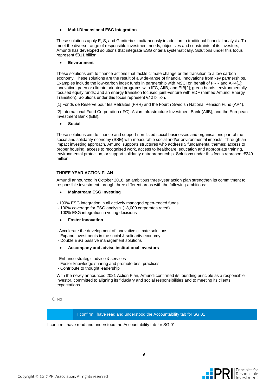#### **Multi-Dimensional ESG Integration**

These solutions apply E, S, and G criteria simultaneously in addition to traditional financial analysis. To meet the diverse range of responsible investment needs, objectives and constraints of its investors, Amundi has developed solutions that integrate ESG criteria systematically, Solutions under this focus represent €311 billion.

#### **Environment**

These solutions aim to finance actions that tackle climate change or the transition to a low carbon economy. These solutions are the result of a wide-range of financial innovations from key partnerships. Examples include the low-carbon index funds in partnership with MSCI on behalf of FRR and AP4[1]; innovative green or climate oriented programs with IFC, AIIB, and EIB[2]; green bonds, environmentally focused equity funds; and an energy transition focused joint-venture with EDF (named Amundi Energy Transition). Solutions under this focus represent €12 billion.

[1] Fonds de Réserve pour les Retraités (FRR) and the Fourth Swedish National Pension Fund (AP4).

[2] International Fund Corporation (IFC), Asian Infrastructure Investment Bank (AIIB), and the European Investment Bank (EIB).

#### **Social**

These solutions aim to finance and support non-listed social businesses and organisations part of the social and solidarity economy (SSE) with measurable social and/or environmental impacts. Through an impact investing approach, Amundi supports structures who address 5 fundamental themes: access to proper housing, access to recognised work, access to healthcare, education and appropriate training, environmental protection, or support solidarity entrepreneurship. Solutions under this focus represent €240 million.

#### **THREE YEAR ACTION PLAN**

Amundi announced in October 2018, an ambitious three-year action plan strengthen its commitment to responsible investment through three different areas with the following ambitions:

#### **Mainstream ESG Investing**

- 100% ESG integration in all actively managed open-ended funds
- 100% coverage for ESG analysis (+8,000 corporates rated)
- 100% ESG integration in voting decisions

#### **Foster Innovation**

- Accelerate the development of innovative climate solutions
- Expand investments in the social & solidarity economy
- Double ESG passive management solutions
- **Accompany and advise institutional investors**
- Enhance strategic advice & services
- Foster knowledge sharing and promote best practices
- Contribute to thought leadership

With the newly announced 2021 Action Plan, Amundi confirmed its founding principle as a responsible investor, committed to aligning its fiduciary and social responsibilities and to meeting its clients' expectations.

○ No



9

I confirm I have read and understood the Accountability tab for SG 01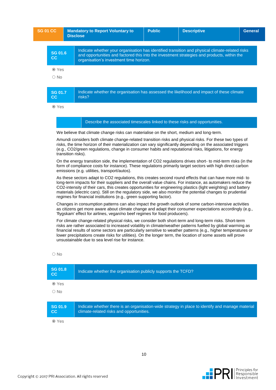| <b>SG 01 CC</b>               |                    | <b>Mandatory to Report Voluntary to</b><br><b>Disclose</b>                                                                                                                                                                                                                                                                                                                                                                                                                                                                    | <b>Public</b> | <b>Descriptive</b> | <b>General</b> |
|-------------------------------|--------------------|-------------------------------------------------------------------------------------------------------------------------------------------------------------------------------------------------------------------------------------------------------------------------------------------------------------------------------------------------------------------------------------------------------------------------------------------------------------------------------------------------------------------------------|---------------|--------------------|----------------|
| <b>SG 01.6</b><br>cc          |                    | Indicate whether your organisation has identified transition and physical climate-related risks<br>and opportunities and factored this into the investment strategies and products, within the<br>organisation's investment time horizon.                                                                                                                                                                                                                                                                                     |               |                    |                |
| <b>⊙</b> Yes                  |                    |                                                                                                                                                                                                                                                                                                                                                                                                                                                                                                                               |               |                    |                |
| $\circ$ No                    |                    |                                                                                                                                                                                                                                                                                                                                                                                                                                                                                                                               |               |                    |                |
| <b>SG 01.7</b><br>cc<br>⊙ Yes |                    | Indicate whether the organisation has assessed the likelihood and impact of these climate<br>risks?                                                                                                                                                                                                                                                                                                                                                                                                                           |               |                    |                |
|                               |                    | Describe the associated timescales linked to these risks and opportunities.                                                                                                                                                                                                                                                                                                                                                                                                                                                   |               |                    |                |
|                               |                    | We believe that climate change risks can materialise on the short, medium and long-term.                                                                                                                                                                                                                                                                                                                                                                                                                                      |               |                    |                |
|                               | transition risks). | Amundi considers both climate change-related transition risks and physical risks. For these two types of<br>risks, the time horizon of their materialization can vary significantly depending on the associated triggers<br>(e.g., CO2/green regulations, change in consumer habits and reputational risks, litigations, for energy                                                                                                                                                                                           |               |                    |                |
|                               |                    | On the energy transition side, the implementation of CO2 regulations drives short- to mid-term risks (in the<br>form of compliance costs for instance). These regulations primarily target sectors with high direct carbon<br>emissions (e.g. utilities, transport/autos).                                                                                                                                                                                                                                                    |               |                    |                |
|                               |                    | As these sectors adapt to CO2 regulations, this creates second round effects that can have more mid-to<br>long-term impacts for their suppliers and the overall value chains. For instance, as automakers reduce the<br>CO2-intensity of their cars, this creates opportunities for engineering plastics (light weighting) and battery<br>materials (electric cars). Still on the regulatory side, we also monitor the potential changes to prudential<br>regimes for financial institutions (e.g., green supporting factor). |               |                    |                |
|                               |                    | Changes in consumption patterns can also impact the growth outlook of some carbon-intensive activities<br>as citizens get more aware about climate change and adapt their consumer expectations accordingly (e.g.,<br>'flygskam' effect for airlines, vegan/no beef regimes for food producers).                                                                                                                                                                                                                              |               |                    |                |
|                               |                    | For climate change-related physical risks, we consider both short-term and long-term risks. Short-term<br>risks are rather associated to increased volatility in climate/weather patterns fuelled by global warming as<br>financial results of some sectors are particularly sensitive to weather patterns (e.g., higher temperatures or<br>lower precipitations create risks for utilities). On the longer term, the location of some assets will prove<br>unsustainable due to sea level rise for instance.                 |               |                    |                |

| <b>SG 01.8</b><br>cc | Indicate whether the organisation publicly supports the TCFD?                                                                                |
|----------------------|----------------------------------------------------------------------------------------------------------------------------------------------|
| <b>⊙</b> Yes         |                                                                                                                                              |
| $\circ$ No           |                                                                                                                                              |
|                      |                                                                                                                                              |
| <b>SG 01.9</b><br>cc | Indicate whether there is an organisation-wide strategy in place to identify and manage material<br>climate-related risks and opportunities. |
| ⊙ Yes                |                                                                                                                                              |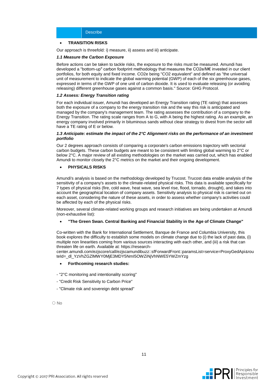#### **TRANSITION RISKS**

Our approach is threefold: i) measure, ii) assess and iii) anticipate.

#### *1.1 Measure the Carbon Exposure*

Before actions can be taken to tackle risks, the exposure to the risks must be measured. Amundi has developed a "bottom-up" carbon footprint methodology that measures the CO2e/M€ invested in our client portfolios, for both equity and fixed income. CO2e being "CO2 equivalent" and defined as "the universal unit of measurement to indicate the global warming potential (GWP) of each of the six greenhouse gases, expressed in terms of the GWP of one unit of carbon dioxide. It is used to evaluate releasing (or avoiding releasing) different greenhouse gases against a common basis." Source: GHG Protocol.

#### *1.2 Assess: Energy Transition rating*

For each individual issuer, Amundi has developed an Energy Transition rating (TE rating) that assesses both the exposure of a company to the energy transition risk and the way this risk is anticipated and managed by the company's management team. The rating assesses the contribution of a company to the Energy Transition. The rating scale ranges from A to G, with A being the highest rating. As an example, an energy company involved primarily in bituminous sands without clear strategy to divest from the sector will have a TE rating of E or below.

#### *1.3 Anticipate: estimate the impact of the 2°C Alignment risks on the performance of an investment portfolio*

Our 2 degrees approach consists of comparing a corporate's carbon emissions trajectory with sectorial carbon budgets. These carbon budgets are meant to be consistent with limiting global warming to 2°C or below 2°C. A major review of all existing methodologies on the market was carried out, which has enabled Amundi to monitor closely the 2°C metrics on the market and their ongoing development.

#### **PHYSICALS RISKS**

Amundi's analysis is based on the methodology developed by Trucost. Trucost data enable analysis of the sensitivity of a company's assets to the climate-related physical risks. This data is available specifically for 7 types of physical risks (fire, cold wave, heat wave, sea level rise, flood, tornado, drought), and takes into account the geographical location of company assets. Sensitivity analysis to physical risk is carried out on each asset, considering the nature of these assets, in order to assess whether company's activities could be affected by each of the physical risks.

Moreover, several climate-related working groups and research initiatives are being undertaken at Amundi (non-exhaustive list):

#### **"The Green Swan. Central Banking and Financial Stability in the Age of Climate Change"**

Co-written with the Bank for International Settlement, Banque de France and Columbia University, this book explores the difficulty to establish some models on climate change due to (i) the lack of past data, (i) multiple non linearities coming from various sources interacting with each other, and (iii) a risk that can threaten life on earth. Available at: https://research-

center.amundi.com/ezjscore/call/ezjscamundibuzz::sfForwardFront::paramsList=service=ProxyGedApi&rou teId=\_dl\_YzVhZGZIMWY0MiE3MDY5NmI5OWZiNiVhNWE5YWZmYzg

#### **Forthcoming research studies:**

- "2°C monitoring and intentionality scoring"
- "Credit Risk Sensitivity to Carbon Price"
- "Climate risk and sovereign debt spread"

O No

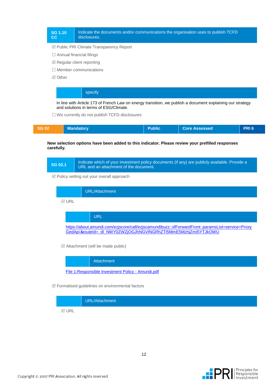

■ Public PRI Climate Transparency Report

- $\Box$  Annual financial filings
- $\boxtimes$  Regular client reporting
- $\Box$  Member communications
- **⊠** Other

#### specify

In line with Article 173 of French Law on energy transition, we publish a document explaining our strategy and solutions in terms of ESG/Climate.

□ We currently do not publish TCFD disclosures

| <b>SG 02</b> | <b>Mandatory</b> | <b>Public</b> | <b>Core Assessed</b> | <b>PRI6</b> |
|--------------|------------------|---------------|----------------------|-------------|
|              |                  |               |                      |             |

**New selection options have been added to this indicator. Please review your prefilled responses carefully.**

|                | Indicate which of your investment policy documents (if any) are publicly available. Provide a |
|----------------|-----------------------------------------------------------------------------------------------|
| <b>SG 02.1</b> | URL and an attachment of the document.                                                        |

Policy setting out your overall approach



 $\boxtimes$  Attachment (will be made public)

Attachment

[File 1:Responsible Investment Policy -](https://reporting.unpri.org/Download.aspx?id=c8eb0638-6e71-46c6-b382-824fd789dde0) Amundi.pdf

Formalised guidelines on environmental factors

|               | URL/Attachment |
|---------------|----------------|
| $\boxdot$ URL |                |

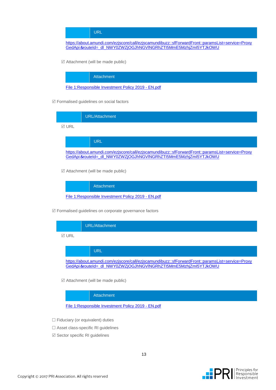URL

[https://about.amundi.com/ezjscore/call/ezjscamundibuzz::sfForwardFront::paramsList=service=Proxy](https://about.amundi.com/ezjscore/call/ezjscamundibuzz::sfForwardFront::paramsList=service=ProxyGedApi＆routeId=_dl_NWY0ZWZjOGJhNGVlNGRhZTI5MmE5MzhjZmI5YTJkOWU) GedApi&[routeId=\\_dl\\_NWY0ZWZjOGJhNGVlNGRhZTI5MmE5MzhjZmI5YTJkOWU](https://about.amundi.com/ezjscore/call/ezjscamundibuzz::sfForwardFront::paramsList=service=ProxyGedApi＆routeId=_dl_NWY0ZWZjOGJhNGVlNGRhZTI5MmE5MzhjZmI5YTJkOWU)

 $\boxtimes$  Attachment (will be made public)

**Attachment** 

[File 1:Responsible Investment Policy 2019 -](https://reporting.unpri.org/Download.aspx?id=c6916077-fa78-4648-bc8a-a518556f296a) EN.pdf

Formalised guidelines on social factors



 $\boxtimes$  Attachment (will be made public)



Formalised guidelines on corporate governance factors



 $\boxtimes$  Attachment (will be made public)

Attachment

[File 1:Responsible Investment Policy 2019 -](https://reporting.unpri.org/Download.aspx?id=5d0bf920-a355-4778-93a7-46ac52705340) EN.pdf

- $\Box$  Fiduciary (or equivalent) duties
- □ Asset class-specific RI quidelines
- $\boxtimes$  Sector specific RI guidelines

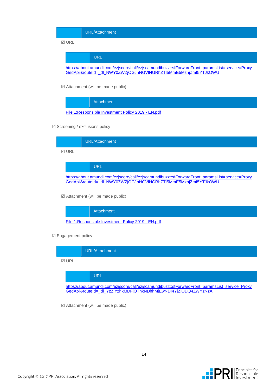### URL/Attachment  $\nabla$  URL URL [https://about.amundi.com/ezjscore/call/ezjscamundibuzz::sfForwardFront::paramsList=service=Proxy](https://about.amundi.com/ezjscore/call/ezjscamundibuzz::sfForwardFront::paramsList=service=ProxyGedApi＆routeId=_dl_NWY0ZWZjOGJhNGVlNGRhZTI5MmE5MzhjZmI5YTJkOWU) GedApi&[routeId=\\_dl\\_NWY0ZWZjOGJhNGVlNGRhZTI5MmE5MzhjZmI5YTJkOWU](https://about.amundi.com/ezjscore/call/ezjscamundibuzz::sfForwardFront::paramsList=service=ProxyGedApi＆routeId=_dl_NWY0ZWZjOGJhNGVlNGRhZTI5MmE5MzhjZmI5YTJkOWU)

 $\boxtimes$  Attachment (will be made public)



 $\boxtimes$  Screening / exclusions policy

|        | URL/Attachment                                                                                                                                                      |
|--------|---------------------------------------------------------------------------------------------------------------------------------------------------------------------|
| 1⊽ URL |                                                                                                                                                                     |
|        | <b>URL</b>                                                                                                                                                          |
|        | https://about.amundi.com/ezjscore/call/ezjscamundibuzz::sfForwardFront::paramsList=service=Proxy<br>GedApi &routeId=_dl_NWY0ZWZjOGJhNGVINGRhZTI5MmE5MzhjZmI5YTJkOWU |

 $\boxtimes$  Attachment (will be made public)

Attachment [File 1:Responsible Investment Policy 2019 -](https://reporting.unpri.org/Download.aspx?id=bfa25955-ccf4-48a5-9198-7f47aa72dd48) EN.pdf

 $\boxtimes$  Engagement policy



 $\boxtimes$  Attachment (will be made public)

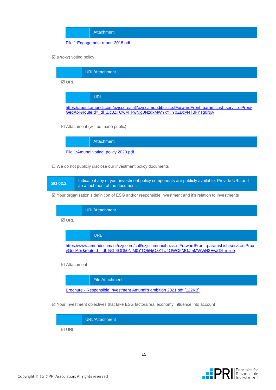Attachment

#### [File 1:Engagement report 2018.pdf](https://reporting.unpri.org/Download.aspx?id=edd114f9-e88f-4e21-a00d-e9b144daa6b0)

 $\boxtimes$  (Proxy) voting policy



 $\boxtimes$  Attachment (will be made public)

Attachment [File 1:Amundi voting\\_policy 2020.pdf](https://reporting.unpri.org/Download.aspx?id=943dd8da-0d2a-4b24-b54a-b88e02ec12b5)

 $\Box$  We do not publicly disclose our investment policy documents



Your organisation's definition of ESG and/or responsible investment and it's relation to investments



Attachment

File Attachment

Brochure - [Responsible Investment Amundi's ambition 2021.pdf \[122KB\]](https://reporting.unpri.org/Download.aspx?id=Brochure%20-%20Responsible%20Investment%20Amundi)

Your investment objectives that take ESG factors/real economy influence into account



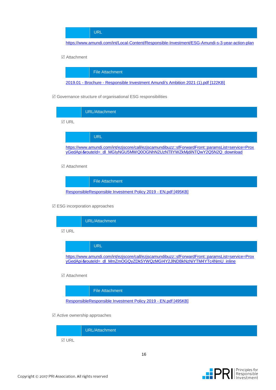URL

<https://www.amundi.com/int/Local-Content/Responsible-Investment/ESG-Amundi-s-3-year-action-plan>

#### Attachment

File Attachment

2019.01 - Brochure - [Responsible Investment Amundi's Ambition 2021 \(1\).pdf \[122KB\]](https://reporting.unpri.org/Download.aspx?id=2019.01%20-%20Brochure%20-%20Responsible%20Investment%20Amundi)

 $\boxtimes$  Governance structure of organisational ESG responsibilities

|              | URL/Attachment                                                                                                                                                                |
|--------------|-------------------------------------------------------------------------------------------------------------------------------------------------------------------------------|
| <b>⊠ URL</b> |                                                                                                                                                                               |
|              | URL                                                                                                                                                                           |
|              | https://www.amundi.com/int/ezjscore/call/ezjscamundibuzz::sfForwardFront::paramsList=service=Prox<br>yGedApi&routeId=_dl_MGIyNGU5MWQ0OGNhN2UzNTIIYWZkMjdiNTQwY2Q5N2Q_download |

#### Attachment



#### ESG incorporation approaches



URL

[https://www.amundi.com/int/ezjscore/call/ezjscamundibuzz::sfForwardFront::paramsList=service=Prox](https://www.amundi.com/int/ezjscore/call/ezjscamundibuzz::sfForwardFront::paramsList=service=ProxyGedApi＆routeId=_dl_MmZmOGQyZDk5YWQzMGI4Y2JlNDBkNzNiYTM4YTc4NmU_inline) yGedApi&[routeId=\\_dl\\_MmZmOGQyZDk5YWQzMGI4Y2JlNDBkNzNiYTM4YTc4NmU\\_inline](https://www.amundi.com/int/ezjscore/call/ezjscamundibuzz::sfForwardFront::paramsList=service=ProxyGedApi＆routeId=_dl_MmZmOGQyZDk5YWQzMGI4Y2JlNDBkNzNiYTM4YTc4NmU_inline)

#### Attachment

File Attachment

[ResponsibleResponsible Investment Policy 2019 -](https://reporting.unpri.org/Download.aspx?id=ResponsibleResponsible%20Investment%20Policy%202019%20-%20EN.pdf) EN.pdf [495KB]

#### Active ownership approaches

|               | URL/Attachment |
|---------------|----------------|
| $\boxdot$ URL |                |

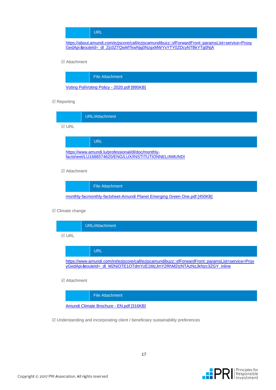#### URL

[https://about.amundi.com/ezjscore/call/ezjscamundibuzz::sfForwardFront::paramsList=service=Proxy](https://about.amundi.com/ezjscore/call/ezjscamundibuzz::sfForwardFront::paramsList=service=ProxyGedApi＆routeId=_dl_Zjc0ZTQwMTkwNjg0NzgxMWYxYTY0ZDcyNTBkYTg0NjA) GedApi&[routeId=\\_dl\\_Zjc0ZTQwMTkwNjg0NzgxMWYxYTY0ZDcyNTBkYTg0NjA](https://about.amundi.com/ezjscore/call/ezjscamundibuzz::sfForwardFront::paramsList=service=ProxyGedApi＆routeId=_dl_Zjc0ZTQwMTkwNjg0NzgxMWYxYTY0ZDcyNTBkYTg0NjA)

#### Attachment



#### $\boxtimes$  Reporting

|             | URL/Attachment                                                                                             |
|-------------|------------------------------------------------------------------------------------------------------------|
| <b>⊠URL</b> |                                                                                                            |
|             | <b>URL</b>                                                                                                 |
|             | https://www.amundi.lu/professional/dl/doc/monthly-<br>factsheet/LU1688574620/ENG/LUX/INSTITUTIONNEL/AMUNDI |

#### Attachment



#### $\boxtimes$  Climate change



Attachment

File Attachment

[Amundi Climate Brochure -](https://reporting.unpri.org/Download.aspx?id=Amundi%20Climate%20Brochure%20-%20EN.pdf) EN.pdf [316KB]

 $\mathbb Z$  Understanding and incorporating client / beneficiary sustainability preferences

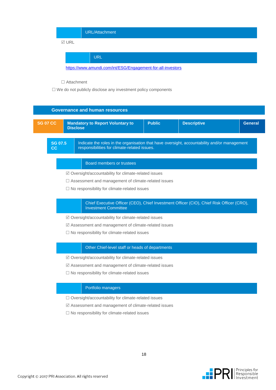|       | URL/Attachment                                              |
|-------|-------------------------------------------------------------|
| ⊠ URL |                                                             |
|       | <b>URL</b>                                                  |
|       | https://www.amundi.com/int/ESG/Engagement-for-all-investors |

#### □ Attachment

 $\Box$  We do not publicly disclose any investment policy components

|                           |                                                                                                                                                                      |  | <b>Governance and human resources</b>                      |               |                    |                |  |
|---------------------------|----------------------------------------------------------------------------------------------------------------------------------------------------------------------|--|------------------------------------------------------------|---------------|--------------------|----------------|--|
|                           | <b>SG 07 CC</b>                                                                                                                                                      |  | <b>Mandatory to Report Voluntary to</b><br><b>Disclose</b> | <b>Public</b> | <b>Descriptive</b> | <b>General</b> |  |
|                           | Indicate the roles in the organisation that have oversight, accountability and/or management<br><b>SG 07.5</b><br>responsibilities for climate-related issues.<br>cc |  |                                                            |               |                    |                |  |
| Board members or trustees |                                                                                                                                                                      |  |                                                            |               |                    |                |  |
|                           | $\boxtimes$ Oversight/accountability for climate-related issues                                                                                                      |  |                                                            |               |                    |                |  |
|                           | $\Box$ Assessment and management of climate-related issues                                                                                                           |  |                                                            |               |                    |                |  |
|                           | $\Box$ No responsibility for climate-related issues                                                                                                                  |  |                                                            |               |                    |                |  |

#### Chief Executive Officer (CEO), Chief Investment Officer (CIO), Chief Risk Officer (CRO), Investment Committee

- Oversight/accountability for climate-related issues
- Assessment and management of climate-related issues
- $\square$  No responsibility for climate-related issues

#### Other Chief-level staff or heads of departments

- $\boxtimes$  Oversight/accountability for climate-related issues
- Assessment and management of climate-related issues
- $\square$  No responsibility for climate-related issues

#### Portfolio managers

- □ Oversight/accountability for climate-related issues
- Assessment and management of climate-related issues
- $\square$  No responsibility for climate-related issues

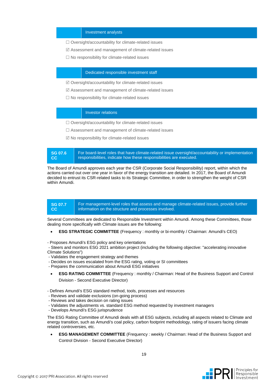#### Investment analysts

- $\Box$  Oversight/accountability for climate-related issues
- $\boxtimes$  Assessment and management of climate-related issues
- $\square$  No responsibility for climate-related issues

#### Dedicated responsible investment staff

- Oversight/accountability for climate-related issues
- Assessment and management of climate-related issues
- $\square$  No responsibility for climate-related issues

#### Investor relations

- $\Box$  Oversight/accountability for climate-related issues
- Assessment and management of climate-related issues
- $\boxtimes$  No responsibility for climate-related issues

| SG 07.6 | For board-level roles that have climate-related issue oversight/accountability or implementation |
|---------|--------------------------------------------------------------------------------------------------|
| ⊟ CC.   | responsibilities, indicate how these responsibilities are executed.                              |

The Board of Amundi approves each year the CSR (Corporate Social Responsibility) report, within which the actions carried out over one year in favor of the energy transition are detailed. In 2017, the Board of Amundi decided to entrust its CSR-related tasks to its Strategic Committee, in order to strengthen the weight of CSR within Amundi.

**SG 07.7 CC** For management-level roles that assess and manage climate-related issues, provide further information on the structure and processes involved.

Several Committees are dedicated to Responsible Investment within Amundi. Among these Committees, those dealing more specifically with Climate issues are the following:

- **ESG STRATEGIC COMMITTEE** (Frequency : monthly or bi-monthly / Chairman: Amundi's CEO)
- Proposes Amundi's ESG policy and key orientations

- Steers and monitors ESG 2021 ambition project (including the following objective: "accelerating innovative Climate Solutions")

- Validates the engagement strategy and themes
- Decides on issues escalated from the ESG rating, voting or SI committees
- Prepares the communication about Amundi ESG initiatives
	- **ESG RATING COMMITTEE** (Frequency : monthly / Chairman: Head of the Business Support and Control Division - Second Executive Director)
- Defines Amundi's ESG standard method, tools, processes and resources
- Reviews and validate exclusions (on-going process)
- Reviews and takes decision on rating issues
- Validates the adjustments vs. standard ESG method requested by investment managers
- Develops Amundi's ESG jurisprudence

The ESG Rating Committee of Amundi deals with all ESG subjects, including all aspects related to Climate and energy transition, such as Amundi's coal policy, carbon footprint methodology, rating of issuers facing climate related controversies, etc.

**ESG MANAGEMENT COMMITTEE** (Frequency : weekly / Chairman: Head of the Business Support and Control Division - Second Executive Director)

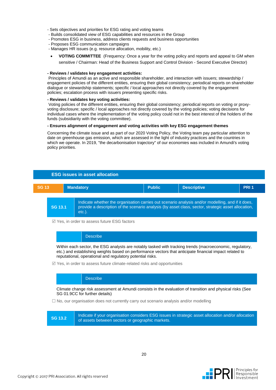- Sets objectives and priorities for ESG rating and voting teams
- Builds consolidated view of ESG capabilities and resources in the Group
- Promotes ESG in business, address clients requests and business opportunities
- Proposes ESG communication campaigns
- Manages HR issues (e.g. resource allocation, mobility, etc.)
- **VOTING COMMITTEE** (Frequency: Once a year for the voting policy and reports and appeal to GM when sensitive / Chairman: Head of the Business Support and Control Division - Second Executive Director)

#### **- Reviews / validates key engagement activities:**

Principles of Amundi as an active and responsible shareholder, and interaction with issuers; stewardship / engagement policies of the different entities, ensuring their global consistency; periodical reports on shareholder dialogue or stewardship statements; specific / local approaches not directly covered by the engagement policies; escalation process with issuers presenting specific risks.

#### **- Reviews / validates key voting activities:**

Voting policies of the different entities, ensuring their global consistency; periodical reports on voting or proxyvoting disclosure; specific / local approaches not directly covered by the voting policies; voting decisions for individual cases where the implementation of the voting policy could not in the best interest of the holders of the funds (subsidiarity with the voting committee).

#### **- Ensures alignment of engagement and voting activities with key ESG engagement themes**

Concerning the climate issue and as part of our 2020 Voting Policy, the Voting team pay particular attention to date on greenhouse gas emission, which are assessed in the light of industry practices and the countries in which we operate. In 2019, "the decarbonisation trajectory" of our economies was included in Amundi's voting policy priorities.



Yes, in order to assess future ESG factors

**Describe** 

Within each sector, the ESG analysts are notably tasked with tracking trends (macroeconomic, regulatory, etc.) and establishing weights based on performance vectors that anticipate financial impact related to reputational, operational and regulatory potential risks.

 $\mathbb Z$  Yes, in order to assess future climate-related risks and opportunities

**Describe** 

Climate change risk assessment at Amundi consists in the evaluation of transition and physical risks (See SG 01.9CC for further details)

 $\Box$  No, our organisation does not currently carry out scenario analysis and/or modelling

**SG 13.2** Indicate if your organisation considers ESG issues in strategic asset allocation and/or allocation of assets between sectors or geographic markets.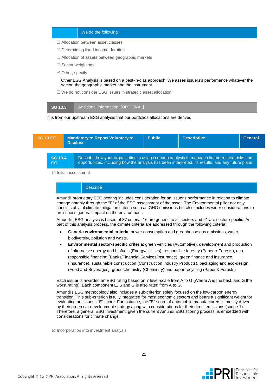|  |  | We do the following |
|--|--|---------------------|
|  |  |                     |

- □ Allocation between asset classes
- $\Box$  Determining fixed income duration
- Allocation of assets between geographic markets
- $\square$  Sector weightings
- $\boxtimes$  Other, specify

Other ESG Analysis is based on a best-in-clas approach. We asses issuers's performance whatever the sector, the geographic market and the instrument.

 $\Box$  We do not consider ESG issues in strategic asset allocation

| C <sub>122</sub> | Additional information. [OPTIONAL] |
|------------------|------------------------------------|
|------------------|------------------------------------|

It is from our upstream ESG analysis that our portfolios allocations are derived.



Initial assessment

**Describe** 

Amundi' proprietary ESG scoring includes consideration for an issuer's performance in relation to climate change notably through the "E" of the ESG assessment of the asset. The Environmental pillar not only consists of vital climate mitigation criteria such as GHG emissions but also includes wider considerations to an issuer's general impact on the environment.

Amundi's ESG analysis is based of 37 criteria: 16 are generic to all sectors and 21 are sector-specific. As part of this analysis process, the climate criteria are addressed through the following criteria:

- **Generic environmental criteria**: power consumption and greenhouse gas emissions, water, biodiversity, pollution and waste.
- **Environmental sector-specific criteria**: green vehicles (Automotive), development and production of alternative energy and biofuels (Energy/Utilities), responsible forestry (Paper & Forests), ecoresponsible financing (Banks/Financial Services/Insurance), green finance and insurance (Insurance), sustainable construction (Construction Industry Products), packaging and eco-design (Food and Beverages), green chemistry (Chemistry) and paper recycling (Paper & Forests)

Each issuer is awarded an ESG rating based on 7 level-scale from A to G (Where A is the best, and G the worst rating). Each component E, S and G is also rated from A to G.

Amundi's ESG methodology also includes a sub-criterion solely focused on the low-carbon energy transition. This sub-criterion is fully integrated for most economic sectors and bears a significant weight for evaluating an issuer's "E" score. For instance, the "E" score of automobile manufacturers is mostly driven by their green car development strategy along with considerations for their direct emissions (scope 1). Therefore, a general ESG investment, given the current Amundi ESG scoring process, is embedded with considerations for climate change.

 $\boxtimes$  Incorporation into investment analysis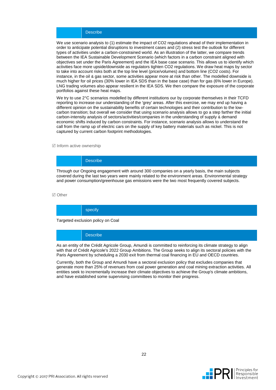#### **Describe**

We use scenario analysis to (1) estimate the impact of CO2 regulations ahead of their implementation in order to anticipate potential disruptions to investment cases and (2) stress test the outlook for different types of activities under a carbon-constrained world. As an illustration of the latter, we compare trends between the IEA Sustainable Development Scenario (which factors in a carbon constraint aligned with objectives set under the Paris Agreement) and the IEA base case scenario. This allows us to identify which activities face more upside/downside as regulators tighten CO2 regulations. We draw heat maps by sector to take into account risks both at the top line level (price/volumes) and bottom line (CO2 costs). For instance, in the oil & gas sector, some activities appear more at risk than other. The modelled downside is much higher for oil prices (30% lower in IEA SDS than in the base case) than for gas (6% lower in Europe). LNG trading volumes also appear resilient in the IEA SDS. We then compare the exposure of the corporate portfolios against these heat maps.

We try to use 2°C scenarios modelled by different institutions our by corporate themselves in their TCFD reporting to increase our understanding of the 'grey' areas. After this exercise, we may end up having a different opinion on the sustainability benefits of certain technologies and their contribution to the lowcarbon transition; but overall we consider that using scenario analysis allows to go a step farther the initial carbon-intensity analysis of sectors/activities/companies in the understanding of supply & demand economic shifts induced by carbon constraints. For instance, scenario analysis allows to understand the call from the ramp up of electric cars on the supply of key battery materials such as nickel. This is not captured by current carbon footprint methodologies.

#### $\nabla$  Inform active ownership

### **Describe**

Through our Ongoing engagement with around 300 companies on a yearly basis, the main subjects covered during the last two years were mainly related to the environment areas. Environmental strategy and power consumption/greenhouse gas emissions were the two most frequently covered subjects.

#### **⊘** Other

#### specify

Targeted exclusion policy on Coal

**Describe** 

As an entity of the Crédit Agricole Group, Amundi is committed to reinforcing its climate strategy to align with that of Crédit Agricole's 2022 Group Ambitions. The Group seeks to align its sectoral policies with the Paris Agreement by scheduling a 2030 exit from thermal coal financing in EU and OECD countries.

Currently, both the Group and Amundi have a sectoral exclusion policy that excludes companies that generate more than 25% of revenues from coal power generation and coal mining extraction activities. All entities seek to incrementally increase their climate objectives to achieve the Group's climate ambitions, and have established some supervising committees to monitor their progress.

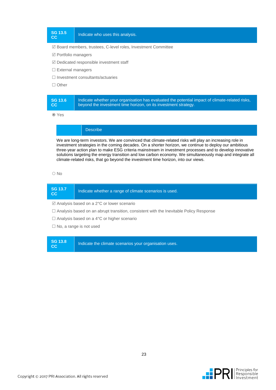**CC** I<sup>3.5</sup> | Indicate who uses this analysis.

#### Board members, trustees, C-level roles, Investment Committee

- $\boxtimes$  Portfolio managers
- $\boxtimes$  Dedicated responsible investment staff
- $\square$  External managers
- $\Box$  Investment consultants/actuaries
- □ Other

Yes

### Describe

We are long-term investors. We are convinced that climate-related risks will play an increasing role in investment strategies in the coming decades. On a shorter horizon, we continue to deploy our ambitious three-year action plan to make ESG criteria mainstream in investment processes and to develop innovative solutions targeting the energy transition and low carbon economy. We simultaneously map and integrate all climate-related risks, that go beyond the investment time horizon, into our views.

#### O No

| <b>SG 13.7</b><br> CC                                                                         | Indicate whether a range of climate scenarios is used. |  |
|-----------------------------------------------------------------------------------------------|--------------------------------------------------------|--|
| $\boxtimes$ Analysis based on a 2°C or lower scenario                                         |                                                        |  |
| $\Box$ Analysis based on an abrupt transition, consistent with the Inevitable Policy Response |                                                        |  |

□ Analysis based on a 4°C or higher scenario

 $\Box$  No, a range is not used

**SG 13.8** 

**CC I** Indicate the climate scenarios your organisation uses.

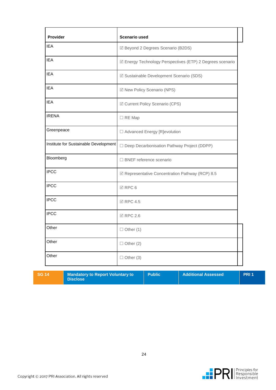| Provider                              | <b>Scenario used</b>                                      |
|---------------------------------------|-----------------------------------------------------------|
| <b>IEA</b>                            | ☑ Beyond 2 Degrees Scenario (B2DS)                        |
| <b>IEA</b>                            | ☑ Energy Technology Perspectives (ETP) 2 Degrees scenario |
| <b>IEA</b>                            | ☑ Sustainable Development Scenario (SDS)                  |
| <b>IEA</b>                            | ☑ New Policy Scenario (NPS)                               |
| <b>IEA</b>                            | ☑ Current Policy Scenario (CPS)                           |
| <b>IRENA</b>                          | $\Box$ RE Map                                             |
| Greenpeace                            | □ Advanced Energy [R]evolution                            |
| Institute for Sustainable Development | □ Deep Decarbonisation Pathway Project (DDPP)             |
| Bloomberg                             | □ BNEF reference scenario                                 |
| <b>IPCC</b>                           | ☑ Representative Concentration Pathway (RCP) 8.5          |
| <b>IPCC</b>                           | $\boxtimes$ RPC 6                                         |
| <b>IPCC</b>                           | <b>☑ RPC 4.5</b>                                          |
| <b>IPCC</b>                           | $\boxtimes$ RPC 2.6                                       |
| Other                                 | $\Box$ Other (1)                                          |
| Other                                 | $\Box$ Other (2)                                          |
| Other                                 | $\Box$ Other (3)                                          |

**SG 14 Mandatory to Report Voluntary to Disclose**

**Public Additional Assessed PRI 1**

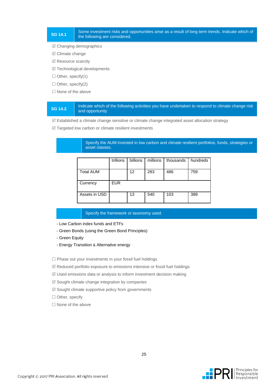#### **SG 14.1** Some investment risks and opportunities arise as a result of long term trends. Indicate which of the following are considered.

#### $\boxtimes$  Changing demographics

- $□$  **Climate change**
- $✓$  **Resource scarcity**
- $\boxtimes$  Technological developments
- $\Box$  Other, specify(1)
- $\Box$  Other, specify(2)
- $\Box$  None of the above

#### **SG 14.2** Indicate which of the following activities you have undertaken to respond to climate change risk and opportunity

 $\mathbb Z$  Established a climate change sensitive or climate change integrated asset allocation strategy

 $\mathbb Z$  Targeted low carbon or climate resilient investments

#### Specify the AUM invested in low carbon and climate resilient portfolios, funds, strategies or asset classes.

|                  | trillions  | billions | millions | thousands | hundreds |
|------------------|------------|----------|----------|-----------|----------|
| <b>Total AUM</b> |            | 12       | 283      | 486       | 759      |
| Currency         | <b>EUR</b> |          |          |           |          |
| Assets in USD    |            | 13       | 540      | 103       | 389      |

#### Specify the framework or taxonomy used.

- Low Carbon index funds and ETFs
- Green Bonds (using the Green Bond Principles)
- Green Equity
- Energy Transition & Alternative energy

 $\Box$  Phase out your investments in your fossil fuel holdings

Reduced portfolio exposure to emissions intensive or fossil fuel holdings

- $\mathbb Z$  Used emissions data or analysis to inform investment decision making
- $\boxtimes$  Sought climate change integration by companies
- $\boxtimes$  Sought climate supportive policy from governments
- □ Other, specify
- $\square$  None of the above

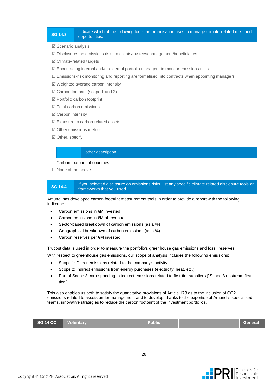#### **SG 14.3** Indicate which of the following tools the organisation uses to manage climate-related risks and<br> **SG 14.3** opportunities.

 $\boxtimes$  Scenario analysis

 $\boxtimes$  Disclosures on emissions risks to clients/trustees/management/beneficiaries

 $\boxtimes$  Climate-related targets

 $\mathbb Z$  Encouraging internal and/or external portfolio managers to monitor emissions risks

 $\Box$  Emissions-risk monitoring and reporting are formalised into contracts when appointing managers

 $\boxtimes$  Weighted average carbon intensity

 $\boxtimes$  Carbon footprint (scope 1 and 2)

Portfolio carbon footprint

 $\boxtimes$  Total carbon emissions

 $□$  **Carbon intensity** 

Exposure to carbon-related assets

 $\boxtimes$  Other emissions metrics

 $\boxtimes$  Other, specify

#### other description

#### Carbon footprint of countries

 $\Box$  None of the above



**SG 14.4** If you selected disclosure on emissions risks, list any specific climate related disclosure tools or frameworks that you used.

Amundi has developed carbon footprint measurement tools in order to provide a report with the following indicators:

- Carbon emissions in €M invested
- Carbon emissions in €M of revenue
- Sector-based breakdown of carbon emissions (as a %)
- Geographical breakdown of carbon emissions (as a %)
- Carbon reserves per €M invested

Trucost data is used in order to measure the portfolio's greenhouse gas emissions and fossil reserves.

With respect to greenhouse gas emissions, our scope of analysis includes the following emissions:

- Scope 1: Direct emissions related to the company's activity
- Scope 2: Indirect emissions from energy purchases (electricity, heat, etc.)
- Part of Scope 3 corresponding to indirect emissions related to first-tier suppliers ("Scope 3 upstream first tier")

This also enables us both to satisfy the quantitative provisions of Article 173 as to the inclusion of CO2 emissions related to assets under management and to develop, thanks to the expertise of Amundi's specialised teams, innovative strategies to reduce the carbon footprint of the investment portfolios.

| SG 14 CC<br>Voluntary<br>Public\<br>General |
|---------------------------------------------|
|---------------------------------------------|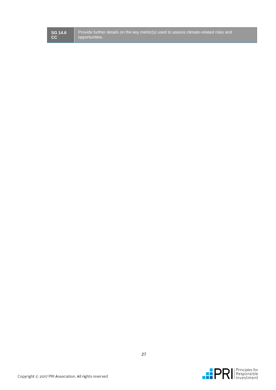| <b>SG 14.6</b> |
|----------------|
|                |

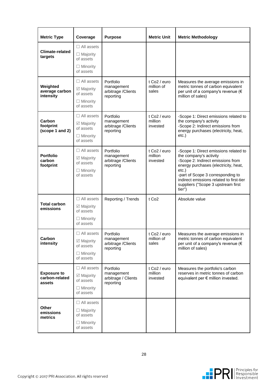| <b>Metric Type</b>                             | Coverage                                                                               | <b>Purpose</b>                                              | <b>Metric Unit</b>                              | <b>Metric Methodology</b>                                                                                                                                                                                                                                                                 |  |
|------------------------------------------------|----------------------------------------------------------------------------------------|-------------------------------------------------------------|-------------------------------------------------|-------------------------------------------------------------------------------------------------------------------------------------------------------------------------------------------------------------------------------------------------------------------------------------------|--|
| <b>Climate-related</b><br>targets              | $\Box$ All assets<br>$\Box$ Majority<br>of assets<br>$\Box$ Minority<br>of assets      |                                                             |                                                 |                                                                                                                                                                                                                                                                                           |  |
| Weighted<br>average carbon<br>intensity        | $\Box$ All assets<br>☑ Majority<br>of assets<br>$\Box$ Minority<br>of assets           | Portfolio<br>management<br>arbitrage / Clients<br>reporting | t Co <sub>2</sub> / euro<br>million of<br>sales | Measures the average emissions in<br>metric tonnes of carbon equivalent<br>per unit of a company's revenue (€<br>million of sales)                                                                                                                                                        |  |
| Carbon<br>footprint<br>(scope 1 and 2)         | $\Box$ All assets<br>☑ Majority<br>of assets<br>$\Box$ Minority<br>of assets           | Portfolio<br>management<br>arbitrage / Clients<br>reporting | t Co <sub>2</sub> / euro<br>million<br>invested | -Scope 1: Direct emissions related to<br>the company's activity<br>-Scope 2: Indirect emissions from<br>energy purchases (electricity, heat,<br>etc.)                                                                                                                                     |  |
| <b>Portfolio</b><br>carbon<br>footprint        | $\Box$ All assets<br>☑ Majority<br>of assets<br>$\Box$ Minority<br>of assets           | Portfolio<br>management<br>arbitrage / Clients<br>reporting | t Co <sub>2</sub> / euro<br>million<br>invested | -Scope 1: Direct emissions related to<br>the company's activity<br>-Scope 2: Indirect emissions from<br>energy purchases (electricity, heat,<br>$etc.$ )<br>-part of Scope 3 corresponding to<br>indirect emissions related to first-tier<br>suppliers ("Scope 3 upstream first<br>tier") |  |
| <b>Total carbon</b><br>emissions               | $\Box$ All assets<br>$\boxtimes$ Majority<br>of assets<br>$\Box$ Minority<br>of assets | Reporting / Trends                                          | t Co <sub>2</sub>                               | Absolute value                                                                                                                                                                                                                                                                            |  |
| Carbon<br>intensity                            | $\Box$ All assets<br>☑ Majority<br>of assets<br>$\Box$ Minority<br>of assets           | Portfolio<br>management<br>arbitrage / Clients<br>reporting | t Co $2/$ euro<br>million of<br>sales           | Measures the average emissions in<br>metric tonnes of carbon equivalent<br>per unit of a company's revenue (€<br>million of sales)                                                                                                                                                        |  |
| <b>Exposure to</b><br>carbon-related<br>assets | $\Box$ All assets<br>☑ Majority<br>of assets<br>$\Box$ Minority<br>of assets           | Portfolio<br>management<br>arbitrage / Clients<br>reporting | t Co <sub>2</sub> / euro<br>million<br>invested | Measures the portfolio's carbon<br>reserves in metric tonnes of carbon<br>equivalent per € million invested.                                                                                                                                                                              |  |
| <b>Other</b><br>emissions<br>metrics           | $\Box$ All assets<br>$\Box$ Majority<br>of assets<br>$\Box$ Minority<br>of assets      |                                                             |                                                 |                                                                                                                                                                                                                                                                                           |  |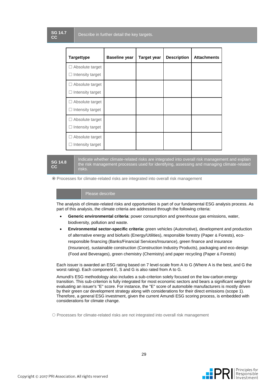| <b>Targettype</b>                          | <b>Baseline year</b> | <b>Target year</b> | <b>Description</b> | <b>Attachments</b> |
|--------------------------------------------|----------------------|--------------------|--------------------|--------------------|
| $\Box$ Absolute target<br>Intensity target |                      |                    |                    |                    |
| $\Box$ Absolute target<br>Intensity target |                      |                    |                    |                    |
| □ Absolute target<br>Intensity target      |                      |                    |                    |                    |
| $\Box$ Absolute target<br>Intensity target |                      |                    |                    |                    |
| Absolute target<br>Intensity target        |                      |                    |                    |                    |

**SG 14.8 CC**

Indicate whether climate-related risks are integrated into overall risk management and explain the risk management processes used for identifying, assessing and managing climate-related risks.

Processes for climate-related risks are integrated into overall risk management

#### Please describe

The analysis of climate-related risks and opportunities is part of our fundamental ESG analysis process. As part of this analysis, the climate criteria are addressed through the following criteria:

- **Generic environmental criteria**: power consumption and greenhouse gas emissions, water, biodiversity, pollution and waste.
- **Environmental sector-specific criteria:** green vehicles (Automotive), development and production of alternative energy and biofuels (Energy/Utilities), responsible forestry (Paper & Forests), ecoresponsible financing (Banks/Financial Services/Insurance), green finance and insurance (Insurance), sustainable construction (Construction Industry Products), packaging and eco-design (Food and Beverages), green chemistry (Chemistry) and paper recycling (Paper & Forests)

Each issuer is awarded an ESG rating based on 7 level-scale from A to G (Where A is the best, and G the worst rating). Each component E, S and G is also rated from A to G.

Amundi's ESG methodology also includes a sub-criterion solely focused on the low-carbon energy transition. This sub-criterion is fully integrated for most economic sectors and bears a significant weight for evaluating an issuer's "E" score. For instance, the "E" score of automobile manufacturers is mostly driven by their green car development strategy along with considerations for their direct emissions (scope 1). Therefore, a general ESG investment, given the current Amundi ESG scoring process, is embedded with considerations for climate change.

O Processes for climate-related risks are not integrated into overall risk management